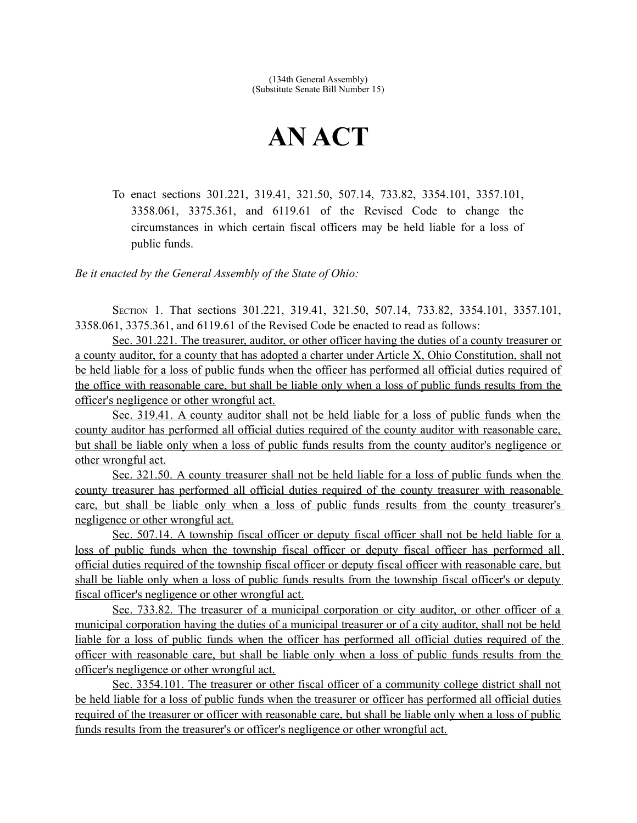## **AN ACT**

To enact sections 301.221, 319.41, 321.50, 507.14, 733.82, 3354.101, 3357.101, 3358.061, 3375.361, and 6119.61 of the Revised Code to change the circumstances in which certain fiscal officers may be held liable for a loss of public funds.

*Be it enacted by the General Assembly of the State of Ohio:*

SECTION 1. That sections 301.221, 319.41, 321.50, 507.14, 733.82, 3354.101, 3357.101, 3358.061, 3375.361, and 6119.61 of the Revised Code be enacted to read as follows:

 Sec. 301.221. The treasurer, auditor, or other officer having the duties of a county treasurer or a county auditor, for a county that has adopted a charter under Article X, Ohio Constitution, shall not be held liable for a loss of public funds when the officer has performed all official duties required of the office with reasonable care, but shall be liable only when a loss of public funds results from the officer's negligence or other wrongful act.

 Sec. 319.41. A county auditor shall not be held liable for a loss of public funds when the county auditor has performed all official duties required of the county auditor with reasonable care, but shall be liable only when a loss of public funds results from the county auditor's negligence or other wrongful act.

 Sec. 321.50. A county treasurer shall not be held liable for a loss of public funds when the county treasurer has performed all official duties required of the county treasurer with reasonable care, but shall be liable only when a loss of public funds results from the county treasurer's negligence or other wrongful act.

 Sec. 507.14. A township fiscal officer or deputy fiscal officer shall not be held liable for a loss of public funds when the township fiscal officer or deputy fiscal officer has performed all official duties required of the township fiscal officer or deputy fiscal officer with reasonable care, but shall be liable only when a loss of public funds results from the township fiscal officer's or deputy fiscal officer's negligence or other wrongful act.

Sec. 733.82. The treasurer of a municipal corporation or city auditor, or other officer of a municipal corporation having the duties of a municipal treasurer or of a city auditor, shall not be held liable for a loss of public funds when the officer has performed all official duties required of the officer with reasonable care, but shall be liable only when a loss of public funds results from the officer's negligence or other wrongful act.

 Sec. 3354.101. The treasurer or other fiscal officer of a community college district shall not be held liable for a loss of public funds when the treasurer or officer has performed all official duties required of the treasurer or officer with reasonable care, but shall be liable only when a loss of public funds results from the treasurer's or officer's negligence or other wrongful act.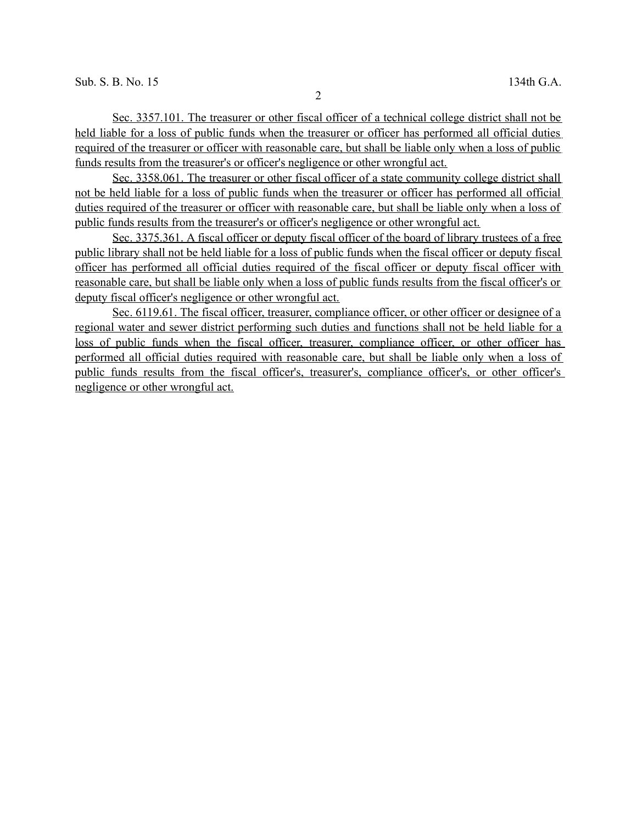Sec. 3357.101. The treasurer or other fiscal officer of a technical college district shall not be held liable for a loss of public funds when the treasurer or officer has performed all official duties required of the treasurer or officer with reasonable care, but shall be liable only when a loss of public funds results from the treasurer's or officer's negligence or other wrongful act.

 Sec. 3358.061. The treasurer or other fiscal officer of a state community college district shall not be held liable for a loss of public funds when the treasurer or officer has performed all official duties required of the treasurer or officer with reasonable care, but shall be liable only when a loss of public funds results from the treasurer's or officer's negligence or other wrongful act.

 Sec. 3375.361. A fiscal officer or deputy fiscal officer of the board of library trustees of a free public library shall not be held liable for a loss of public funds when the fiscal officer or deputy fiscal officer has performed all official duties required of the fiscal officer or deputy fiscal officer with reasonable care, but shall be liable only when a loss of public funds results from the fiscal officer's or deputy fiscal officer's negligence or other wrongful act.

Sec. 6119.61. The fiscal officer, treasurer, compliance officer, or other officer or designee of a regional water and sewer district performing such duties and functions shall not be held liable for a loss of public funds when the fiscal officer, treasurer, compliance officer, or other officer has performed all official duties required with reasonable care, but shall be liable only when a loss of public funds results from the fiscal officer's, treasurer's, compliance officer's, or other officer's negligence or other wrongful act.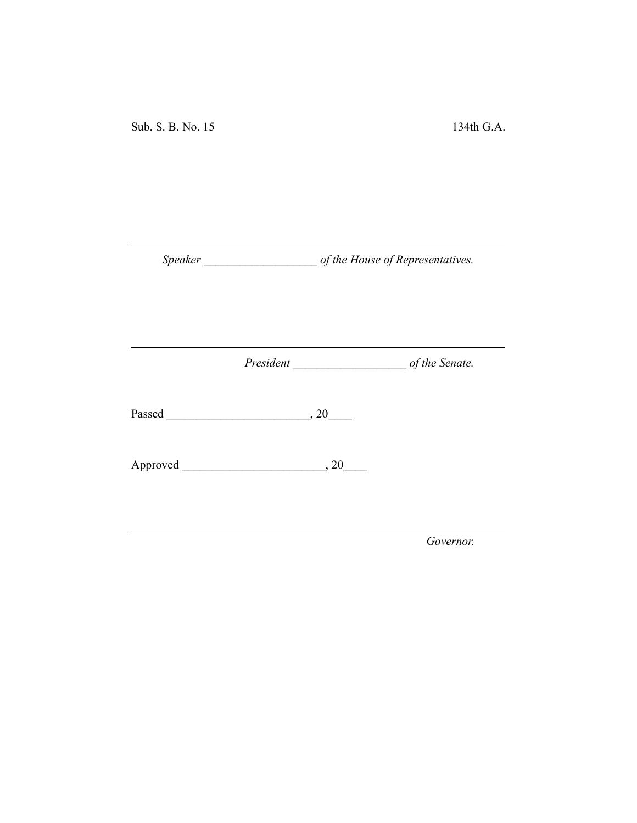Sub. S. B. No. 15 134th G.A.

*Speaker \_\_\_\_\_\_\_\_\_\_\_\_\_\_\_\_\_\_\_ of the House of Representatives.*

*President \_\_\_\_\_\_\_\_\_\_\_\_\_\_\_\_\_\_\_ of the Senate.*

Passed \_\_\_\_\_\_\_\_\_\_\_\_\_\_\_\_\_\_\_\_\_\_\_\_, 20\_\_\_\_

Approved \_\_\_\_\_\_\_\_\_\_\_\_\_\_\_\_\_\_\_\_\_\_\_\_, 20\_\_\_\_

*Governor.*